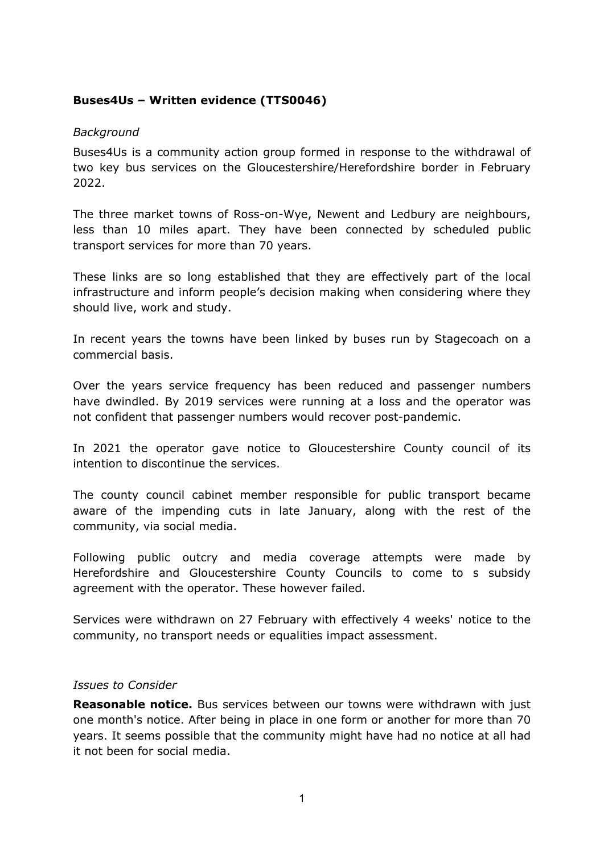## **Buses4Us – Written evidence (TTS0046)**

## *Background*

Buses4Us is a community action group formed in response to the withdrawal of two key bus services on the Gloucestershire/Herefordshire border in February 2022.

The three market towns of Ross-on-Wye, Newent and Ledbury are neighbours, less than 10 miles apart. They have been connected by scheduled public transport services for more than 70 years.

These links are so long established that they are effectively part of the local infrastructure and inform people's decision making when considering where they should live, work and study.

In recent years the towns have been linked by buses run by Stagecoach on a commercial basis.

Over the years service frequency has been reduced and passenger numbers have dwindled. By 2019 services were running at a loss and the operator was not confident that passenger numbers would recover post-pandemic.

In 2021 the operator gave notice to Gloucestershire County council of its intention to discontinue the services.

The county council cabinet member responsible for public transport became aware of the impending cuts in late January, along with the rest of the community, via social media.

Following public outcry and media coverage attempts were made by Herefordshire and Gloucestershire County Councils to come to s subsidy agreement with the operator. These however failed.

Services were withdrawn on 27 February with effectively 4 weeks' notice to the community, no transport needs or equalities impact assessment.

## *Issues to Consider*

**Reasonable notice.** Bus services between our towns were withdrawn with just one month's notice. After being in place in one form or another for more than 70 years. It seems possible that the community might have had no notice at all had it not been for social media.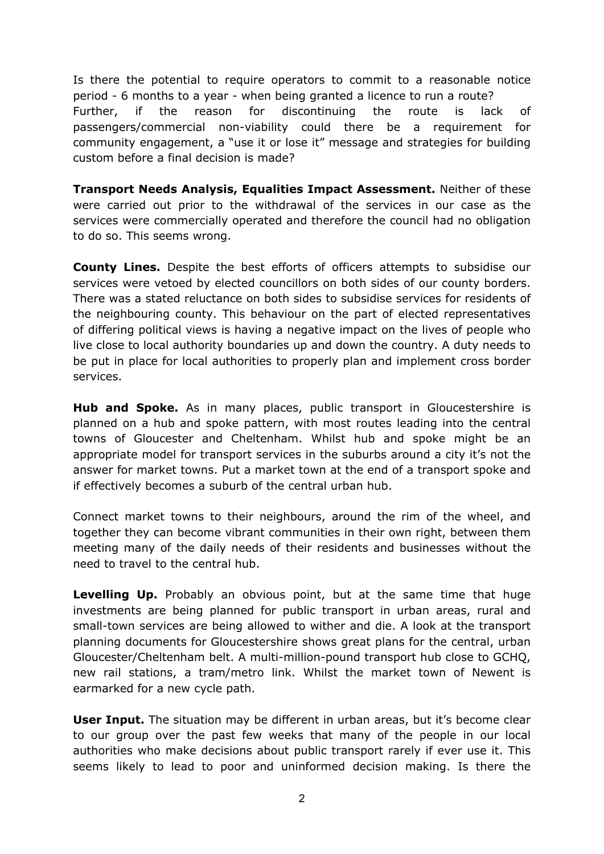Is there the potential to require operators to commit to a reasonable notice period - 6 months to a year - when being granted a licence to run a route? Further, if the reason for discontinuing the route is lack of passengers/commercial non-viability could there be a requirement for community engagement, a "use it or lose it" message and strategies for building custom before a final decision is made?

**Transport Needs Analysis, Equalities Impact Assessment.** Neither of these were carried out prior to the withdrawal of the services in our case as the services were commercially operated and therefore the council had no obligation to do so. This seems wrong.

**County Lines.** Despite the best efforts of officers attempts to subsidise our services were vetoed by elected councillors on both sides of our county borders. There was a stated reluctance on both sides to subsidise services for residents of the neighbouring county. This behaviour on the part of elected representatives of differing political views is having a negative impact on the lives of people who live close to local authority boundaries up and down the country. A duty needs to be put in place for local authorities to properly plan and implement cross border services.

**Hub and Spoke.** As in many places, public transport in Gloucestershire is planned on a hub and spoke pattern, with most routes leading into the central towns of Gloucester and Cheltenham. Whilst hub and spoke might be an appropriate model for transport services in the suburbs around a city it's not the answer for market towns. Put a market town at the end of a transport spoke and if effectively becomes a suburb of the central urban hub.

Connect market towns to their neighbours, around the rim of the wheel, and together they can become vibrant communities in their own right, between them meeting many of the daily needs of their residents and businesses without the need to travel to the central hub.

**Levelling Up.** Probably an obvious point, but at the same time that huge investments are being planned for public transport in urban areas, rural and small-town services are being allowed to wither and die. A look at the transport planning documents for Gloucestershire shows great plans for the central, urban Gloucester/Cheltenham belt. A multi-million-pound transport hub close to GCHQ, new rail stations, a tram/metro link. Whilst the market town of Newent is earmarked for a new cycle path.

**User Input.** The situation may be different in urban areas, but it's become clear to our group over the past few weeks that many of the people in our local authorities who make decisions about public transport rarely if ever use it. This seems likely to lead to poor and uninformed decision making. Is there the